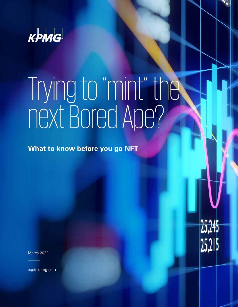

# Trying to "mint" the next Bored Ape?

**What to know before you go NFT**

March 2022

audit.kpmg.com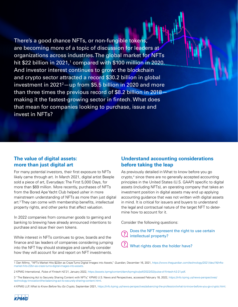There's a good chance NFTs, or non-fungible tokens, are becoming more of a topic of discussion for leaders at organizations across industries. The global market for NFTs hit \$22 billion in 2021,<sup>1</sup> compared with \$100 millio<mark>n</mark> in 2020. And investor interest continues to grow: the blockchain and crypto sector attracted a record \$30.2 billion in global investment in 2021<sup>2</sup>—up from \$5.5 billion i<mark>n 2</mark>020 and more than three times the previous record of \$8.2 billion in 2018making it the fastest-growing sector in fintech. What does that mean for companies looking to purchase, issue and invest in NFTs?

#### **The value of digital assets: more than just digital art**

For many potential investors, their first exposure to NFTs likely came through art. In March 2021, digital artist Beeple sold a piece of art, Everydays: The First 5,000 Days, for more than \$69 million. More recently, purchases of NFTs from the Bored Ape Yacht Club helped usher in more mainstream understanding of NFTs as more than just digital art.3 They can come with membership benefits, intellectual property rights, and other perks that affect valuation.

In 2022 companies from consumer goods to gaming and banking to brewing have already announced intentions to purchase and issue their own tokens.

While interest in NFTs continues to grow, boards and the finance and tax leaders of companies considering jumping into the NFT fray should strategize and carefully consider how they will account for and report on NFT investments.

## **Understand accounting considerations before taking the leap**

As previously detailed in What to know before you go crypto,4 since there are no generally accepted accounting principles in the United States (U.S. GAAP) specific to digital assets (including NFTs), an operating company that takes an investment position in digital assets may end up applying accounting guidance that was not written with digital assets in mind. It is critical for issuers and buyers to understand the legal and contractual nature of the target NFT to determine how to account for it.

Consider the following questions:

Does the NFT represent the right to use certain ? intellectual property?

(?) What rights does the holder have?

<sup>4</sup> KPMG LLP, *What to Know Before You Go Crypto,* September 2021, https://info.kpmg.us/news-perspectives/advancing-the-profession/what-to-know-before-you-go-crypto.html.



<sup>1</sup> Dan Milmo, "NFTs Market Hits \$22bn as Craze Turns Digital Images into Assets," *Guardian,* December 16, 2021, https://www.theguardian.com/technology/2021/dec/16/nftsmarket-hits-22bn-as-craze-turns-digital-images-into-assets.

<sup>2</sup> KPMG International, *Pulse of Fintech H2'21*, January 2022, https://assets.kpmg/content/dam/kpmg/xx/pdf/2022/02/pulse-of-fintech-h2-21.pdf.

<sup>3 &</sup>quot;The Balancing Act to Securely Sharing Content with NFTs," KPMG U.S. News and Perspectives, accessed February 18, 2022, https://info.kpmg.us/news-perspectives/ technology-innovation/the-balancing-act-to-securely-sharing-content.html.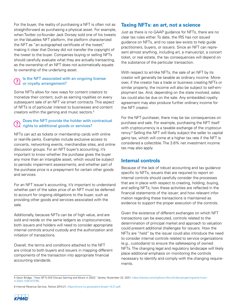For the buyer, the reality of purchasing a NFT is often not as straightforward as purchasing a physical asset. For example, when Twitter co-founder Jack Dorsey sold one of his tweets on the Valuables NFT platform, the platform characterized the NFT as "an autographed certificate of the tweet," making it clear that Dorsey did not transfer the copyright of the tweet to the buyer. Companies buying or selling NFTs should carefully evaluate what they are actually transacting, as the ownership of an NFT does not automatically equate to ownership of the underlying asset.

#### Is the NFT associated with an ongoing license or royalty arrangement?

Some NFTs allow for new ways for content creators to monetize their content, such as earning royalties on every subsequent sale of an NFT via smart contracts. This aspect of NFTs is of particular interest to businesses and content creators within the gaming and music sectors.5

#### Does the NFT provide the holder with contractual rights to additional goods or services?

NFTs can act as tickets or membership cards with online or real-life perks. Examples include exclusive access to concerts, networking events, merchandise sites, and online discussion groups. For an NFT buyer's accounting, it's important to know whether the purchase gives the buyer any more than an intangible asset, which would be subject to periodic impairment assessments, and whether part of the purchase price is a prepayment for certain other goods and services.

For an NFT issuer's accounting, it's important to understand whether part of the sales price of an NFT must be deferred to account for ongoing obligations to the buyer, such as providing other goods and services associated with the sale.

Additionally, because NFTs can be of high value, and are sold and reside on the same ledgers as cryptocurrencies, both issuers and holders will need to consider appropriate internal controls around custody and the authorization and initiation of transactions.

Overall, the terms and conditions attached to the NFT are critical to both buyers and issuers in mapping different components of the transaction into appropriate financial accounting standards.

## **Taxing NFTs: an art, not a science**

Just as there is no GAAP guidance for NFTs, there are no clear tax rules either. To date, the IRS has not issued guidance on NFTs, and no case law exists to help guide practitioners, buyers, or issuers. Since an NFT can represent almost anything, including art, a manuscript, a concert ticket, or real estate, the tax consequences will depend on the substance of the particular transaction.

With respect to art-like NFTs, the sale of an NFT by its creator will generally be taxable as ordinary income. Moreover, if the creator has a trade or business creating NFTs or similar property, the income will also be subject to self-employment tax. And, depending on the state involved, sales tax could also be due on the sale. Any embedded royalty agreement may also produce further ordinary income for the NFT creator.

For the NFT purchaser, there may be tax consequences on purchase and sale. For example, purchasing the NFT itself with cryptocurrency is a taxable exchange of the cryptocurrency.6 Selling the NFT will likely subject the seller to capital gains tax, which will come at a higher tax rate if the NFT is considered a collectible. The 3.8% net investment income tax may also apply.

# **Internal controls**

Because of the lack of robust accounting and tax guidance specific to NFTs, issuers that are required to report on internal controls should carefully consider the processes that are in place with respect to creating, holding, buying, and selling NFTs; how these activities are reflected in the financial statements of the issuer; and how relevant information regarding these transactions is maintained as evidence to support the proper execution of the controls.

Given the existence of different exchanges on which NFT transactions can be executed, controls related to the determination of principal market and approach to valuation could present additional challenges for issuers. How the NFTs are "held" by the issuer could also introduce the need to consider internal controls related to service organizations (e.g., custodians) to ensure the safekeeping of owned NFTs. The changing legal and regulatory landscape will likely place additional emphasis on monitoring the controls necessary to identify and comply with the changing requirements.

<sup>6</sup> Internal Revenue Service, *Notice 2014-21,* https://www.irs.gov/pub/irs-drop/n-14-21.pdf.



<sup>5</sup> Gavin Bridge, "How NFTs Will Disrupt Gaming and Music in 2022," *Variety,* November 23, 2021, https://variety.com/vip/how-nfts-will-disrupt-gaming-and-musicin-2022-1235107376/.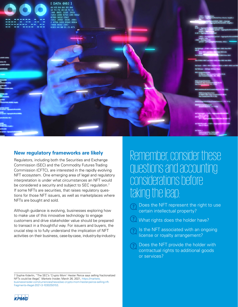

#### **New regulatory frameworks are likely**

Regulators, including both the Securities and Exchange Commission (SEC) and the Commodity Futures Trading Commission (CFTC), are interested in the rapidly evolving NFT ecosystem. One emerging area of legal and regulatory interpretation is under what circumstances an NFT would be considered a security and subject to SEC regulation.<sup>7</sup> If some NFTs are securities, that raises regulatory questions for those NFT issuers, as well as marketplaces where NFTs are bought and sold.

Although guidance is evolving, businesses exploring how to make use of this innovative technology to engage customers and drive stakeholder value should be prepared to transact in a thoughtful way. For issuers and buyers, the crucial step is to fully understand the implication of NFT activities on their business, case-by-case, industry-by-industry.

7 Sophie Kiderlin, "The SEC's 'Crypto Mom' Hester Peirce says selling fractionalized NFTs could be illegal," *Markets Insider,* March 26, 2021, https://markets. businessinsider.com/currencies/news/sec-crypto-mom-hester-peirce-selling-nftfragments-illegal-2021-3-1030250153.

Remember, consider these questions and accounting considerations before taking the leap:

- Does the NFT represent the right to use certain intellectual property?
- What rights does the holder have?

Is the NFT associated with an ongoing license or royalty arrangement?

Does the NFT provide the holder with contractual rights to additional goods or services?